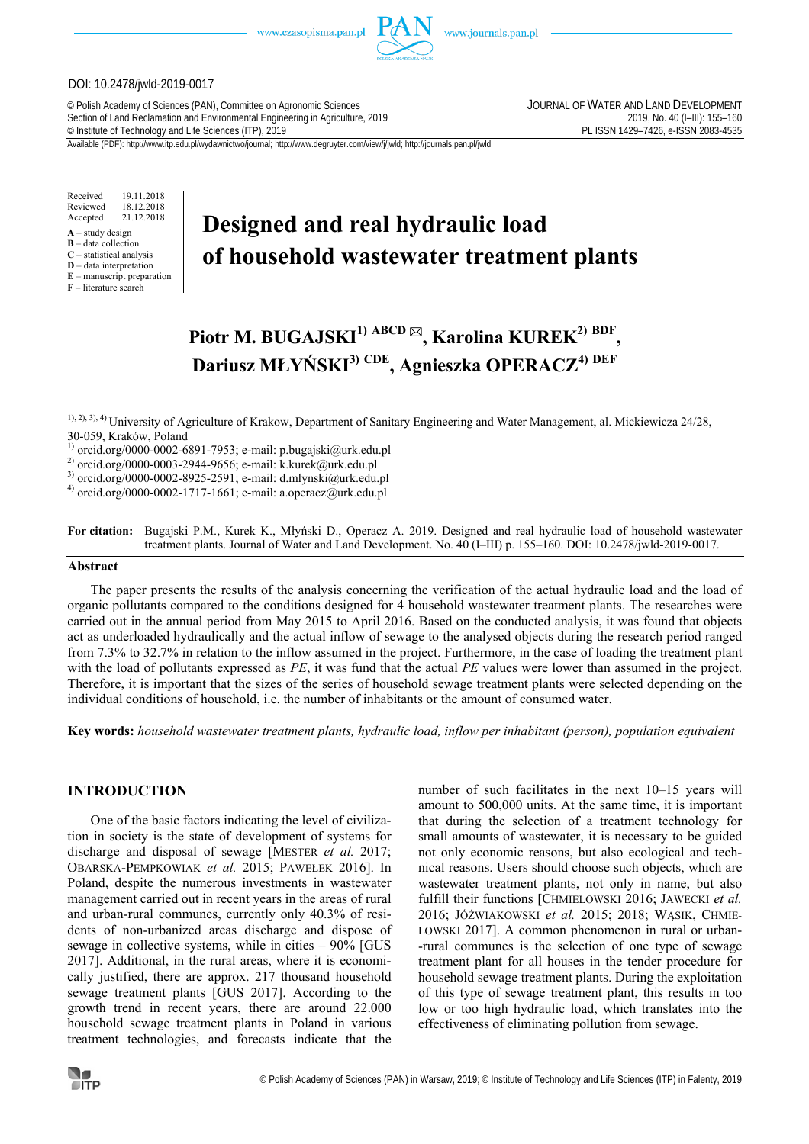www.czasopisma.pan.pl



### DOI: 10.2478/jwld-2019-0017

© Polish Academy of Sciences (PAN), Committee on Agronomic Sciences JOURNAL OF WATER AND LAND DEVELOPMENT Section of Land Reclamation and Environmental Engineering in Agriculture, 2019<br>
© Institute of Technology and Life Sciences (ITP), 2019<br>
© Institute of Technology and Life Sciences (ITP), 2019 <sup>©</sup> Institute of Technology and Life Sciences (ITP), 2019

Available (PDF): http://www.itp.edu.pl/wydawnictwo/journal; http://www.degruyter.com/view/j/jwld; http://journals.pan.pl/jwld

Received 19.11.2018 Reviewed 18.12.2018<br>Accepted 21.12.2018 21.12.2018

- **A** study design
- **B** data collection
- **C** statistical analysis **D** – data interpretation
- **E** manuscript preparation

**F** – literature search

# **Designed and real hydraulic load of household wastewater treatment plants**

# **Piotr M. BUGAJSKI1) ABCD , Karolina KUREK2) BDF , Dariusz MŁYŃSKI3) CDE, Agnieszka OPERACZ4) DEF**

1), 2), 3), 4) University of Agriculture of Krakow, Department of Sanitary Engineering and Water Management, al. Mickiewicza 24/28, 30-059, Kraków, Poland

 $1)$  orcid.org/0000-0002-6891-7953; e-mail: p.bugajski@urk.edu.pl

2) orcid.org/0000-0003-2944-9656; e-mail: k.kurek@urk.edu.pl

3) orcid.org/0000-0002-8925-2591; e-mail: d.mlynski@urk.edu.pl

 $^{4)}$  orcid.org/0000-0002-1717-1661; e-mail: a.operacz@urk.edu.pl

**For citation:** Bugajski P.M., Kurek K., Młyński D., Operacz A. 2019. Designed and real hydraulic load of household wastewater treatment plants. Journal of Water and Land Development. No. 40 (I–III) p. 155–160. DOI: 10.2478/jwld-2019-0017.

#### **Abstract**

The paper presents the results of the analysis concerning the verification of the actual hydraulic load and the load of organic pollutants compared to the conditions designed for 4 household wastewater treatment plants. The researches were carried out in the annual period from May 2015 to April 2016. Based on the conducted analysis, it was found that objects act as underloaded hydraulically and the actual inflow of sewage to the analysed objects during the research period ranged from 7.3% to 32.7% in relation to the inflow assumed in the project. Furthermore, in the case of loading the treatment plant with the load of pollutants expressed as *PE*, it was fund that the actual *PE* values were lower than assumed in the project. Therefore, it is important that the sizes of the series of household sewage treatment plants were selected depending on the individual conditions of household, i.e. the number of inhabitants or the amount of consumed water.

**Key words:** *household wastewater treatment plants, hydraulic load, inflow per inhabitant (person), population equivalent* 

# **INTRODUCTION**

One of the basic factors indicating the level of civilization in society is the state of development of systems for discharge and disposal of sewage [MESTER *et al.* 2017; OBARSKA-PEMPKOWIAK *et al.* 2015; PAWEŁEK 2016]. In Poland, despite the numerous investments in wastewater management carried out in recent years in the areas of rural and urban-rural communes, currently only 40.3% of residents of non-urbanized areas discharge and dispose of sewage in collective systems, while in cities – 90% [GUS 2017]. Additional, in the rural areas, where it is economically justified, there are approx. 217 thousand household sewage treatment plants [GUS 2017]. According to the growth trend in recent years, there are around 22.000 household sewage treatment plants in Poland in various treatment technologies, and forecasts indicate that the

number of such facilitates in the next 10–15 years will amount to 500,000 units. At the same time, it is important that during the selection of a treatment technology for small amounts of wastewater, it is necessary to be guided not only economic reasons, but also ecological and technical reasons. Users should choose such objects, which are wastewater treatment plants, not only in name, but also fulfill their functions [CHMIELOWSKI 2016; JAWECKI *et al.* 2016; JÓŹWIAKOWSKI *et al.* 2015; 2018; WĄSIK, CHMIE-LOWSKI 2017]. A common phenomenon in rural or urban- -rural communes is the selection of one type of sewage treatment plant for all houses in the tender procedure for household sewage treatment plants. During the exploitation of this type of sewage treatment plant, this results in too low or too high hydraulic load, which translates into the effectiveness of eliminating pollution from sewage.

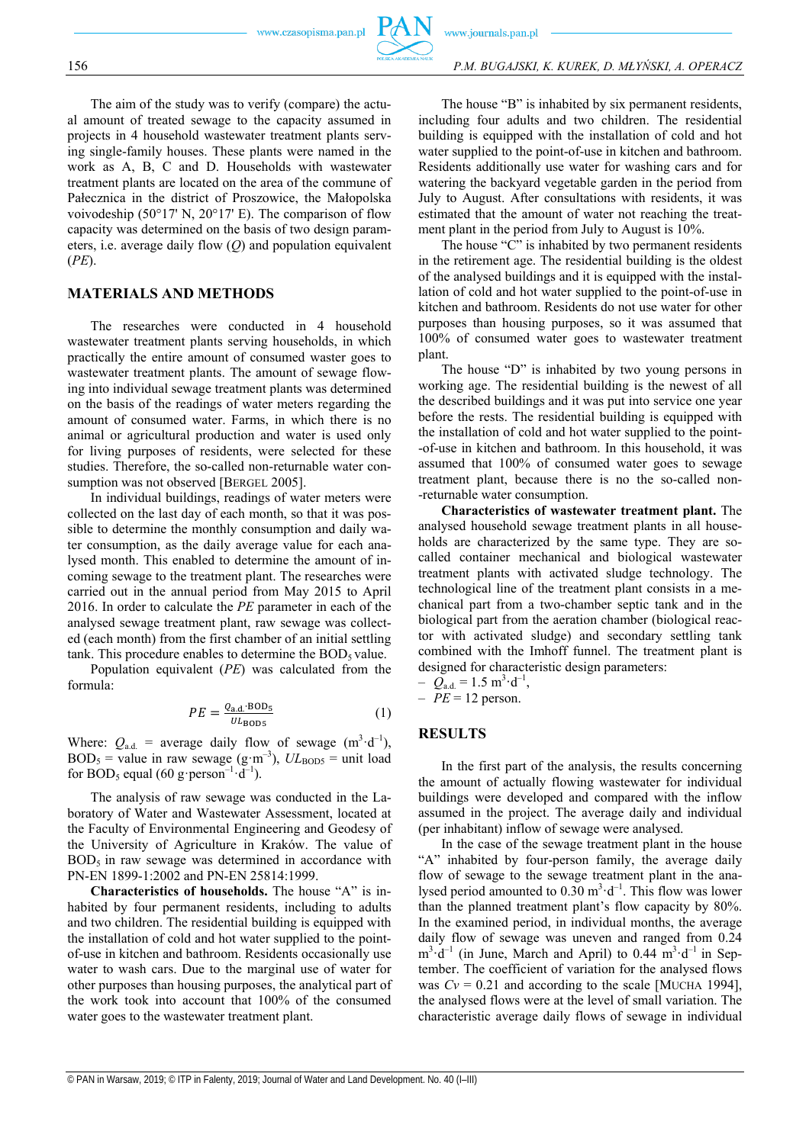

The aim of the study was to verify (compare) the actual amount of treated sewage to the capacity assumed in projects in 4 household wastewater treatment plants serving single-family houses. These plants were named in the work as A, B, C and D. Households with wastewater treatment plants are located on the area of the commune of Pałecznica in the district of Proszowice, the Małopolska voivodeship (50°17' N, 20°17' E). The comparison of flow capacity was determined on the basis of two design parameters, i.e. average daily flow (*Q*) and population equivalent (*PE*).

# **MATERIALS AND METHODS**

The researches were conducted in 4 household wastewater treatment plants serving households, in which practically the entire amount of consumed waster goes to wastewater treatment plants. The amount of sewage flowing into individual sewage treatment plants was determined on the basis of the readings of water meters regarding the amount of consumed water. Farms, in which there is no animal or agricultural production and water is used only for living purposes of residents, were selected for these studies. Therefore, the so-called non-returnable water consumption was not observed [BERGEL 2005].

In individual buildings, readings of water meters were collected on the last day of each month, so that it was possible to determine the monthly consumption and daily water consumption, as the daily average value for each analysed month. This enabled to determine the amount of incoming sewage to the treatment plant. The researches were carried out in the annual period from May 2015 to April 2016. In order to calculate the *PE* parameter in each of the analysed sewage treatment plant, raw sewage was collected (each month) from the first chamber of an initial settling tank. This procedure enables to determine the  $BOD<sub>5</sub>$  value.

Population equivalent (*PE*) was calculated from the formula:

$$
PE = \frac{Q_{\text{a.d.}} \text{BOD}_5}{U L_{\text{BOD}5}} \tag{1}
$$

Where:  $Q_{\text{a.d.}}$  = average daily flow of sewage  $(m^3 \cdot d^{-1})$ ,  $BOD_5$  = value in raw sewage (g·m<sup>-3</sup>),  $UL_{BOD5}$  = unit load for BOD<sub>5</sub> equal (60 g·person<sup>-1</sup>·d<sup>-1</sup>).

The analysis of raw sewage was conducted in the Laboratory of Water and Wastewater Assessment, located at the Faculty of Environmental Engineering and Geodesy of the University of Agriculture in Kraków. The value of  $BOD<sub>5</sub>$  in raw sewage was determined in accordance with PN-EN 1899-1:2002 and PN-EN 25814:1999.

**Characteristics of households.** The house "A" is inhabited by four permanent residents, including to adults and two children. The residential building is equipped with the installation of cold and hot water supplied to the pointof-use in kitchen and bathroom. Residents occasionally use water to wash cars. Due to the marginal use of water for other purposes than housing purposes, the analytical part of the work took into account that 100% of the consumed water goes to the wastewater treatment plant.

The house "B" is inhabited by six permanent residents, including four adults and two children. The residential building is equipped with the installation of cold and hot water supplied to the point-of-use in kitchen and bathroom. Residents additionally use water for washing cars and for watering the backyard vegetable garden in the period from July to August. After consultations with residents, it was estimated that the amount of water not reaching the treatment plant in the period from July to August is 10%.

The house "C" is inhabited by two permanent residents in the retirement age. The residential building is the oldest of the analysed buildings and it is equipped with the installation of cold and hot water supplied to the point-of-use in kitchen and bathroom. Residents do not use water for other purposes than housing purposes, so it was assumed that 100% of consumed water goes to wastewater treatment plant.

The house "D" is inhabited by two young persons in working age. The residential building is the newest of all the described buildings and it was put into service one year before the rests. The residential building is equipped with the installation of cold and hot water supplied to the point- -of-use in kitchen and bathroom. In this household, it was assumed that 100% of consumed water goes to sewage treatment plant, because there is no the so-called non- -returnable water consumption.

**Characteristics of wastewater treatment plant.** The analysed household sewage treatment plants in all households are characterized by the same type. They are socalled container mechanical and biological wastewater treatment plants with activated sludge technology. The technological line of the treatment plant consists in a mechanical part from a two-chamber septic tank and in the biological part from the aeration chamber (biological reactor with activated sludge) and secondary settling tank combined with the Imhoff funnel. The treatment plant is designed for characteristic design parameters:

 $-Q_{\rm a.d.} = 1.5 \text{ m}^3 \cdot \text{d}^{-1},$ 

 $- PE = 12$  person.

# **RESULTS**

In the first part of the analysis, the results concerning the amount of actually flowing wastewater for individual buildings were developed and compared with the inflow assumed in the project. The average daily and individual (per inhabitant) inflow of sewage were analysed.

In the case of the sewage treatment plant in the house "A" inhabited by four-person family, the average daily flow of sewage to the sewage treatment plant in the analysed period amounted to  $0.30 \text{ m}^3 \cdot d^{-1}$ . This flow was lower than the planned treatment plant's flow capacity by 80%. In the examined period, in individual months, the average daily flow of sewage was uneven and ranged from 0.24  $m^3 \cdot d^{-1}$  (in June, March and April) to 0.44  $m^3 \cdot d^{-1}$  in September. The coefficient of variation for the analysed flows was  $Cv = 0.21$  and according to the scale [MUCHA 1994], the analysed flows were at the level of small variation. The characteristic average daily flows of sewage in individual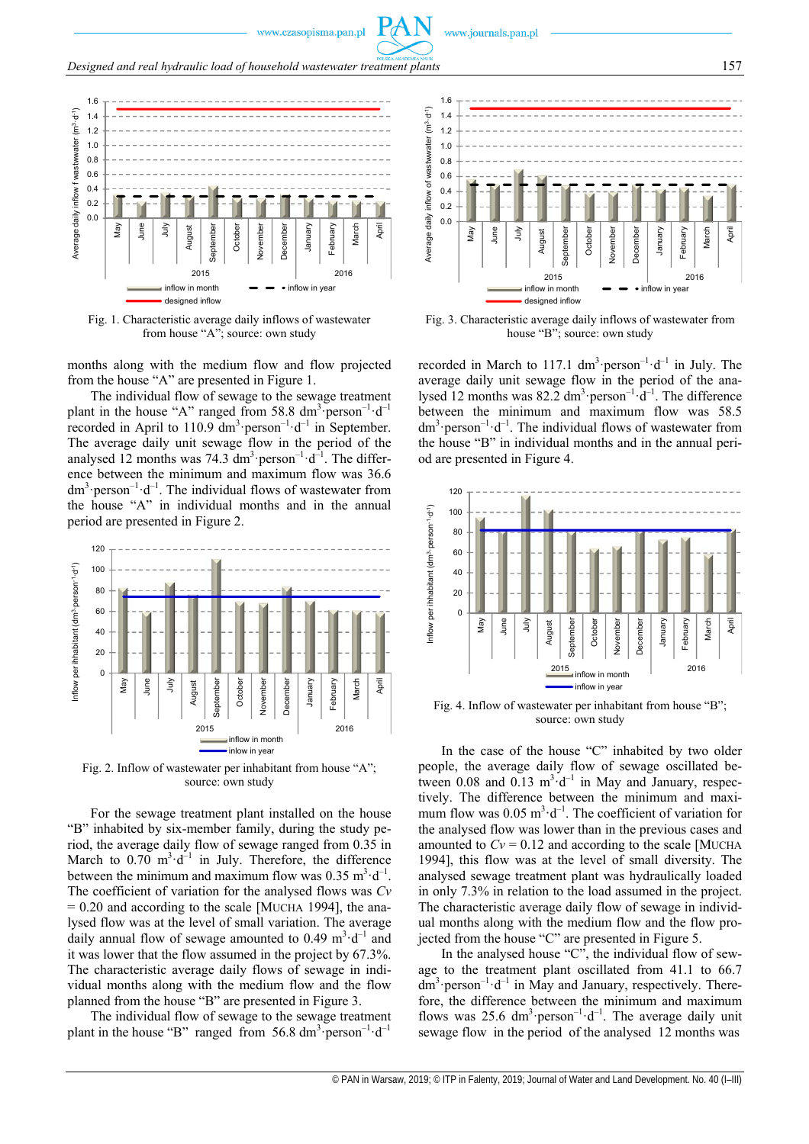www.czasopisma.pan.pl



Fig. 1. Characteristic average daily inflows of wastewater from house "A"; source: own study

months along with the medium flow and flow projected from the house "A" are presented in Figure 1.

The individual flow of sewage to the sewage treatment plant in the house "A" ranged from 58.8  $dm^3$  person<sup>-1</sup> $\cdot d^{-1}$ recorded in April to 110.9  $\text{dm}^3 \cdot \text{person}^{-1} \cdot \text{d}^{-1}$  in September. The average daily unit sewage flow in the period of the analysed 12 months was 74.3  $\text{dm}^3 \cdot \text{person}^{-1} \cdot \text{d}^{-1}$ . The difference between the minimum and maximum flow was 36.6  $dm^3$ ·person<sup>-1</sup>·d<sup>-1</sup>. The individual flows of wastewater from the house "A" in individual months and in the annual period are presented in Figure 2.



Fig. 2. Inflow of wastewater per inhabitant from house "A"; source: own study

For the sewage treatment plant installed on the house "B" inhabited by six-member family, during the study period, the average daily flow of sewage ranged from 0.35 in March to  $0.70 \text{ m}^3 \cdot d^{-1}$  in July. Therefore, the difference between the minimum and maximum flow was  $0.35 \text{ m}^3 \cdot \text{d}^{-1}$ . The coefficient of variation for the analysed flows was *Cv*  $= 0.20$  and according to the scale [MUCHA 1994], the analysed flow was at the level of small variation. The average daily annual flow of sewage amounted to 0.49  $m^3 \cdot d^{-1}$  and it was lower that the flow assumed in the project by 67.3%. The characteristic average daily flows of sewage in individual months along with the medium flow and the flow planned from the house "B" are presented in Figure 3.

The individual flow of sewage to the sewage treatment plant in the house "B" ranged from  $56.8 \text{ dm}^3$  person<sup>-1</sup> $\cdot$ d<sup>-1</sup>



Fig. 3. Characteristic average daily inflows of wastewater from house "B"; source: own study

recorded in March to 117.1  $dm^3$ ·person<sup>-1</sup>·d<sup>-1</sup> in July. The average daily unit sewage flow in the period of the analysed 12 months was  $82.2 \text{ dm}^3$  person<sup>-1</sup> $\cdot d^{-1}$ . The difference between the minimum and maximum flow was 58.5  $dm^3$ ·person<sup>-1</sup>·d<sup>-1</sup>. The individual flows of wastewater from the house "B" in individual months and in the annual period are presented in Figure 4.



Fig. 4. Inflow of wastewater per inhabitant from house "B"; source: own study

In the case of the house "C" inhabited by two older people, the average daily flow of sewage oscillated between 0.08 and  $0.13 \text{ m}^3 \text{ d}^{-1}$  in May and January, respectively. The difference between the minimum and maximum flow was  $0.05 \text{ m}^3 \cdot \text{d}^{-1}$ . The coefficient of variation for the analysed flow was lower than in the previous cases and amounted to  $Cv = 0.12$  and according to the scale [MUCHA 1994], this flow was at the level of small diversity. The analysed sewage treatment plant was hydraulically loaded in only 7.3% in relation to the load assumed in the project. The characteristic average daily flow of sewage in individual months along with the medium flow and the flow projected from the house "C" are presented in Figure 5.

In the analysed house "C", the individual flow of sewage to the treatment plant oscillated from 41.1 to 66.7  $dm^3$  person<sup>-1</sup> $\cdot$ d<sup>-1</sup> in May and January, respectively. Therefore, the difference between the minimum and maximum flows was 25.6  $dm^3$ ·person<sup>-1</sup>·d<sup>-1</sup>. The average daily unit sewage flow in the period of the analysed 12 months was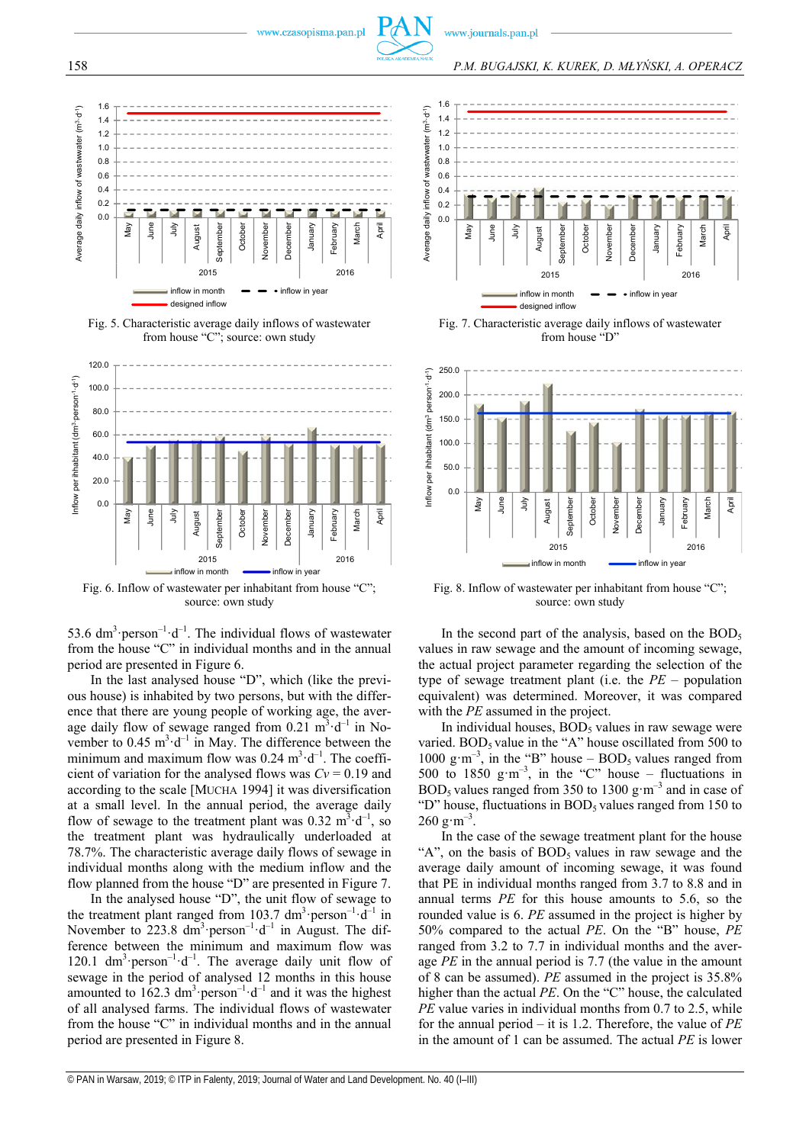









Fig. 6. Inflow of wastewater per inhabitant from house "C"; source: own study

53.6  $dm^3$ ·person<sup>-1</sup>·d<sup>-1</sup>. The individual flows of wastewater from the house "C" in individual months and in the annual period are presented in Figure 6.

In the last analysed house "D", which (like the previous house) is inhabited by two persons, but with the difference that there are young people of working age, the average daily flow of sewage ranged from  $0.21 \text{ m}^3 \cdot d^{-1}$  in November to  $0.45 \text{ m}^3 \cdot \text{d}^{-1}$  in May. The difference between the minimum and maximum flow was  $0.24 \text{ m}^3 \cdot \text{d}^{-1}$ . The coefficient of variation for the analysed flows was  $Cv = 0.19$  and according to the scale [MUCHA 1994] it was diversification at a small level. In the annual period, the average daily flow of sewage to the treatment plant was  $0.32 \text{ m}^3 \cdot d^{-1}$ , so the treatment plant was hydraulically underloaded at 78.7%. The characteristic average daily flows of sewage in individual months along with the medium inflow and the flow planned from the house "D" are presented in Figure 7.

In the analysed house "D", the unit flow of sewage to the treatment plant ranged from 103.7  $dm^3$  person<sup>-1</sup> $\cdot d^{-1}$  in November to 223.8  $\text{dm}^3$  person<sup>-1</sup> $\cdot$ d<sup>-1</sup> in August. The difference between the minimum and maximum flow was 120.1  $dm^3$  person<sup>-1</sup> $-d^{-1}$ . The average daily unit flow of sewage in the period of analysed 12 months in this house amounted to  $162.3 \text{ dm}^3$  person<sup>-1</sup> $\cdot$ d<sup>-1</sup> and it was the highest of all analysed farms. The individual flows of wastewater from the house "C" in individual months and in the annual period are presented in Figure 8.



Fig. 7. Characteristic average daily inflows of wastewater from house "D"



Fig. 8. Inflow of wastewater per inhabitant from house "C"; source: own study

In the second part of the analysis, based on the  $BOD<sub>5</sub>$ values in raw sewage and the amount of incoming sewage, the actual project parameter regarding the selection of the type of sewage treatment plant (i.e. the *PE* – population equivalent) was determined. Moreover, it was compared with the *PE* assumed in the project.

In individual houses,  $BOD<sub>5</sub>$  values in raw sewage were varied. BOD<sub>5</sub> value in the "A" house oscillated from  $500$  to 1000 g·m<sup>-3</sup>, in the "B" house – BOD<sub>5</sub> values ranged from 500 to 1850 g·m<sup>-3</sup>, in the "C" house – fluctuations in BOD<sub>5</sub> values ranged from 350 to 1300 g·m<sup>-3</sup> and in case of "D" house, fluctuations in  $BOD<sub>5</sub>$  values ranged from 150 to  $260 \text{ g} \cdot \text{m}^{-3}$ .

In the case of the sewage treatment plant for the house "A", on the basis of  $BOD<sub>5</sub>$  values in raw sewage and the average daily amount of incoming sewage, it was found that PE in individual months ranged from 3.7 to 8.8 and in annual terms *PE* for this house amounts to 5.6, so the rounded value is 6. *PE* assumed in the project is higher by 50% compared to the actual *PE*. On the "B" house, *PE* ranged from 3.2 to 7.7 in individual months and the average *PE* in the annual period is 7.7 (the value in the amount of 8 can be assumed). *PE* assumed in the project is 35.8% higher than the actual *PE*. On the "C" house, the calculated *PE* value varies in individual months from 0.7 to 2.5, while for the annual period – it is 1.2. Therefore, the value of *PE* in the amount of 1 can be assumed. The actual *PE* is lower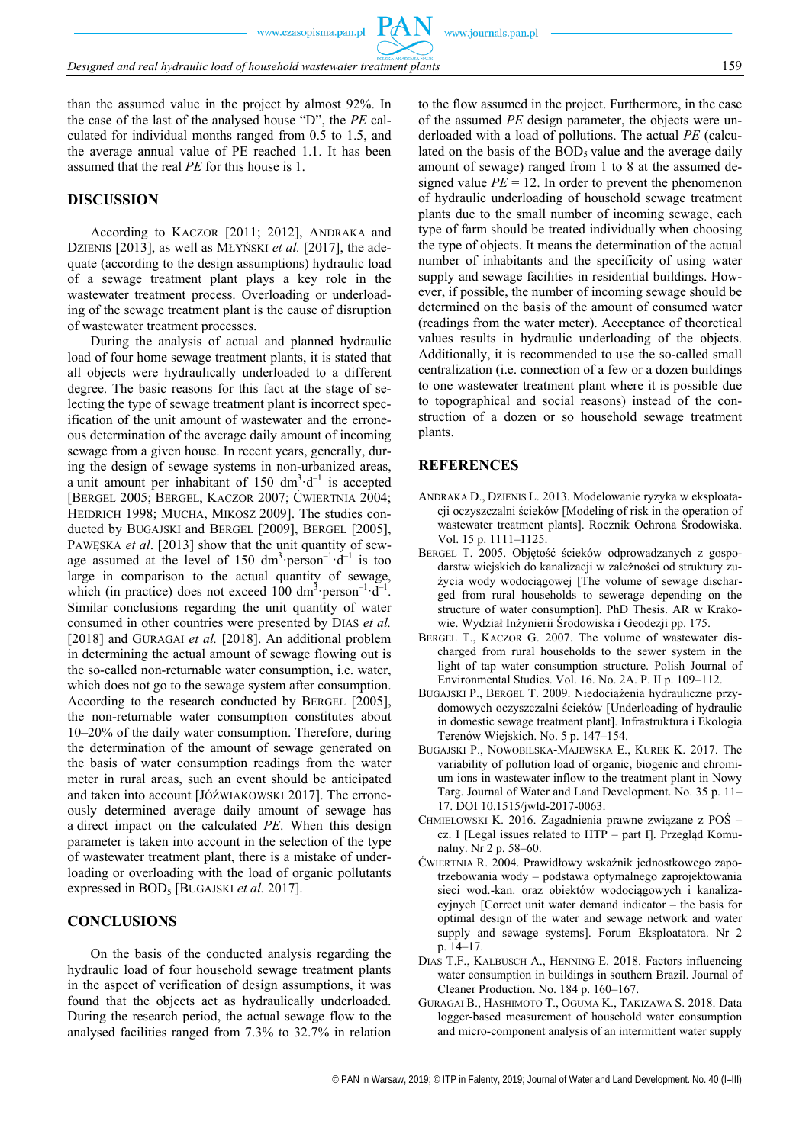than the assumed value in the project by almost 92%. In the case of the last of the analysed house "D", the *PE* calculated for individual months ranged from 0.5 to 1.5, and the average annual value of PE reached 1.1. It has been assumed that the real *PE* for this house is 1.

# **DISCUSSION**

According to KACZOR [2011; 2012], ANDRAKA and DZIENIS [2013], as well as MŁYŃSKI *et al.* [2017], the adequate (according to the design assumptions) hydraulic load of a sewage treatment plant plays a key role in the wastewater treatment process. Overloading or underloading of the sewage treatment plant is the cause of disruption of wastewater treatment processes.

During the analysis of actual and planned hydraulic load of four home sewage treatment plants, it is stated that all objects were hydraulically underloaded to a different degree. The basic reasons for this fact at the stage of selecting the type of sewage treatment plant is incorrect specification of the unit amount of wastewater and the erroneous determination of the average daily amount of incoming sewage from a given house. In recent years, generally, during the design of sewage systems in non-urbanized areas, a unit amount per inhabitant of 150  $dm^3 \cdot d^{-1}$  is accepted [BERGEL 2005; BERGEL, KACZOR 2007; ĆWIERTNIA 2004; HEIDRICH 1998; MUCHA, MIKOSZ 2009]. The studies conducted by BUGAJSKI and BERGEL [2009], BERGEL [2005], PAWESKA *et al.* [2013] show that the unit quantity of sewage assumed at the level of 150  $\text{dm}^3 \cdot \text{person}^{-1} \cdot \text{d}^{-1}$  is too large in comparison to the actual quantity of sewage, which (in practice) does not exceed 100 dm<sup>3</sup> person<sup>-1</sup> $\cdot d^{-1}$ . Similar conclusions regarding the unit quantity of water consumed in other countries were presented by DIAS *et al.* [2018] and GURAGAI *et al.* [2018]. An additional problem in determining the actual amount of sewage flowing out is the so-called non-returnable water consumption, i.e. water, which does not go to the sewage system after consumption. According to the research conducted by BERGEL [2005], the non-returnable water consumption constitutes about 10–20% of the daily water consumption. Therefore, during the determination of the amount of sewage generated on the basis of water consumption readings from the water meter in rural areas, such an event should be anticipated and taken into account [JÓŹWIAKOWSKI 2017]. The erroneously determined average daily amount of sewage has a direct impact on the calculated *PE*. When this design parameter is taken into account in the selection of the type of wastewater treatment plant, there is a mistake of underloading or overloading with the load of organic pollutants expressed in BOD<sub>5</sub> [BUGAJSKI *et al.* 2017].

### **CONCLUSIONS**

On the basis of the conducted analysis regarding the hydraulic load of four household sewage treatment plants in the aspect of verification of design assumptions, it was found that the objects act as hydraulically underloaded. During the research period, the actual sewage flow to the analysed facilities ranged from 7.3% to 32.7% in relation

to the flow assumed in the project. Furthermore, in the case of the assumed *PE* design parameter, the objects were underloaded with a load of pollutions. The actual *PE* (calculated on the basis of the  $BOD<sub>5</sub>$  value and the average daily amount of sewage) ranged from 1 to 8 at the assumed designed value  $PE = 12$ . In order to prevent the phenomenon of hydraulic underloading of household sewage treatment plants due to the small number of incoming sewage, each type of farm should be treated individually when choosing the type of objects. It means the determination of the actual number of inhabitants and the specificity of using water supply and sewage facilities in residential buildings. However, if possible, the number of incoming sewage should be determined on the basis of the amount of consumed water (readings from the water meter). Acceptance of theoretical values results in hydraulic underloading of the objects. Additionally, it is recommended to use the so-called small centralization (i.e. connection of a few or a dozen buildings to one wastewater treatment plant where it is possible due to topographical and social reasons) instead of the construction of a dozen or so household sewage treatment plants.

#### **REFERENCES**

- ANDRAKA D., DZIENIS L. 2013. Modelowanie ryzyka w eksploatacji oczyszczalni ścieków [Modeling of risk in the operation of wastewater treatment plants]. Rocznik Ochrona Środowiska. Vol. 15 p. 1111–1125.
- BERGEL T. 2005. Objętość ścieków odprowadzanych z gospodarstw wiejskich do kanalizacji w zależności od struktury zużycia wody wodociągowej [The volume of sewage discharged from rural households to sewerage depending on the structure of water consumption]. PhD Thesis. AR w Krakowie. Wydział Inżynierii Środowiska i Geodezji pp. 175.
- BERGEL T., KACZOR G. 2007. The volume of wastewater discharged from rural households to the sewer system in the light of tap water consumption structure. Polish Journal of Environmental Studies. Vol. 16. No. 2A. P. II p. 109–112.
- BUGAJSKI P., BERGEL T. 2009. Niedociążenia hydrauliczne przydomowych oczyszczalni ścieków [Underloading of hydraulic in domestic sewage treatment plant]. Infrastruktura i Ekologia Terenów Wiejskich. No. 5 p. 147–154.
- BUGAJSKI P., NOWOBILSKA-MAJEWSKA E., KUREK K. 2017. The variability of pollution load of organic, biogenic and chromium ions in wastewater inflow to the treatment plant in Nowy Targ. Journal of Water and Land Development. No. 35 p. 11– 17. DOI 10.1515/jwld-2017-0063.
- CHMIELOWSKI K. 2016. Zagadnienia prawne związane z POŚ cz. I [Legal issues related to HTP – part I]. Przegląd Komunalny. Nr 2 p. 58–60.
- ĆWIERTNIA R. 2004. Prawidłowy wskaźnik jednostkowego zapotrzebowania wody – podstawa optymalnego zaprojektowania sieci wod.-kan. oraz obiektów wodociągowych i kanalizacyjnych [Correct unit water demand indicator – the basis for optimal design of the water and sewage network and water supply and sewage systems]. Forum Eksploatatora. Nr 2 p. 14–17.
- DIAS T.F., KALBUSCH A., HENNING E. 2018. Factors influencing water consumption in buildings in southern Brazil. Journal of Cleaner Production. No. 184 p. 160–167.
- GURAGAI B., HASHIMOTO T., OGUMA K., TAKIZAWA S. 2018. Data logger-based measurement of household water consumption and micro-component analysis of an intermittent water supply